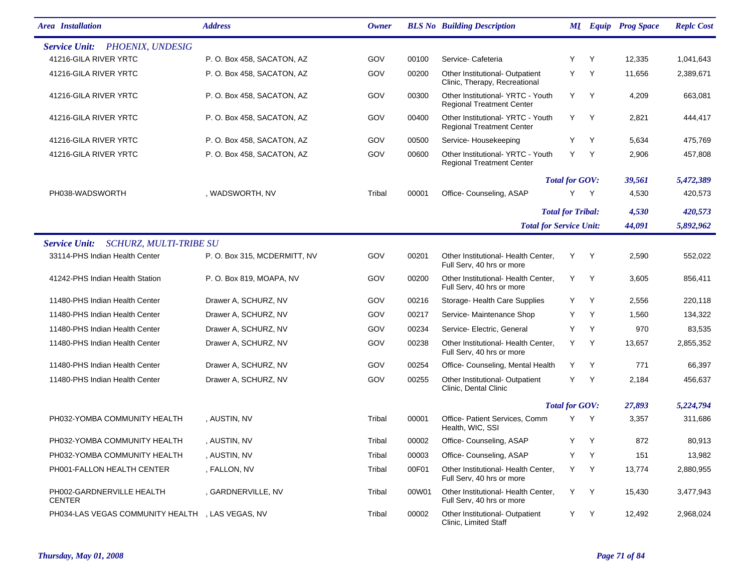| <b>Area</b> Installation                              | <b>Address</b>              | Owner  |       | <b>BLS No</b> Building Description                                   |                                |     | <b>MI</b> Equip Prog Space | <b>Replc Cost</b> |
|-------------------------------------------------------|-----------------------------|--------|-------|----------------------------------------------------------------------|--------------------------------|-----|----------------------------|-------------------|
| PHOENIX, UNDESIG<br><b>Service Unit:</b>              |                             |        |       |                                                                      |                                |     |                            |                   |
| 41216-GILA RIVER YRTC                                 | P.O. Box 458, SACATON, AZ   | GOV    | 00100 | Service-Cafeteria                                                    | Y                              | Y   | 12,335                     | 1,041,643         |
| 41216-GILA RIVER YRTC                                 | P.O. Box 458, SACATON, AZ   | GOV    | 00200 | Other Institutional- Outpatient<br>Clinic, Therapy, Recreational     | Y                              | Y   | 11,656                     | 2,389,671         |
| 41216-GILA RIVER YRTC                                 | P.O. Box 458, SACATON, AZ   | GOV    | 00300 | Other Institutional-YRTC - Youth<br><b>Regional Treatment Center</b> | Y                              | Y   | 4,209                      | 663,081           |
| 41216-GILA RIVER YRTC                                 | P.O. Box 458, SACATON, AZ   | GOV    | 00400 | Other Institutional-YRTC - Youth<br><b>Regional Treatment Center</b> | Y                              | Y   | 2,821                      | 444,417           |
| 41216-GILA RIVER YRTC                                 | P.O. Box 458, SACATON, AZ   | GOV    | 00500 | Service-Housekeeping                                                 | Y                              | Y   | 5,634                      | 475,769           |
| 41216-GILA RIVER YRTC                                 | P.O. Box 458, SACATON, AZ   | GOV    | 00600 | Other Institutional-YRTC - Youth<br><b>Regional Treatment Center</b> | Y                              | Y   | 2,906                      | 457,808           |
|                                                       |                             |        |       |                                                                      | <b>Total for GOV:</b>          |     | 39,561                     | 5,472,389         |
| PH038-WADSWORTH                                       | , WADSWORTH, NV             | Tribal | 00001 | Office- Counseling, ASAP                                             | Y                              | Y   | 4,530                      | 420,573           |
|                                                       |                             |        |       |                                                                      | <b>Total for Tribal:</b>       |     | 4,530                      | 420,573           |
|                                                       |                             |        |       |                                                                      | <b>Total for Service Unit:</b> |     | 44,091                     | 5,892,962         |
| <b>SCHURZ, MULTI-TRIBE SU</b><br><b>Service Unit:</b> |                             |        |       |                                                                      |                                |     |                            |                   |
| 33114-PHS Indian Health Center                        | P.O. Box 315, MCDERMITT, NV | GOV    | 00201 | Other Institutional- Health Center,<br>Full Serv, 40 hrs or more     | Y                              | Y   | 2,590                      | 552,022           |
| 41242-PHS Indian Health Station                       | P.O. Box 819, MOAPA, NV     | GOV    | 00200 | Other Institutional- Health Center,<br>Full Serv, 40 hrs or more     | Y                              | Y   | 3,605                      | 856,411           |
| 11480-PHS Indian Health Center                        | Drawer A, SCHURZ, NV        | GOV    | 00216 | Storage- Health Care Supplies                                        | Y                              | Y   | 2,556                      | 220,118           |
| 11480-PHS Indian Health Center                        | Drawer A, SCHURZ, NV        | GOV    | 00217 | Service- Maintenance Shop                                            | Y                              | Y   | 1,560                      | 134,322           |
| 11480-PHS Indian Health Center                        | Drawer A, SCHURZ, NV        | GOV    | 00234 | Service- Electric, General                                           | Y                              | Y   | 970                        | 83,535            |
| 11480-PHS Indian Health Center                        | Drawer A, SCHURZ, NV        | GOV    | 00238 | Other Institutional- Health Center,<br>Full Serv, 40 hrs or more     | Y                              | Y   | 13,657                     | 2,855,352         |
| 11480-PHS Indian Health Center                        | Drawer A, SCHURZ, NV        | GOV    | 00254 | Office- Counseling, Mental Health                                    | Y                              | Y   | 771                        | 66,397            |
| 11480-PHS Indian Health Center                        | Drawer A, SCHURZ, NV        | GOV    | 00255 | Other Institutional- Outpatient<br>Clinic, Dental Clinic             | Y                              | Y   | 2,184                      | 456,637           |
|                                                       |                             |        |       |                                                                      | <b>Total for GOV:</b>          |     | 27,893                     | 5,224,794         |
| PH032-YOMBA COMMUNITY HEALTH                          | , AUSTIN, NV                | Tribal | 00001 | Office- Patient Services, Comm<br>Health, WIC, SSI                   | Y                              | - Y | 3,357                      | 311,686           |
| PH032-YOMBA COMMUNITY HEALTH                          | , AUSTIN, NV                | Tribal | 00002 | Office- Counseling, ASAP                                             | Y .                            | Y   | 872                        | 80,913            |
| PH032-YOMBA COMMUNITY HEALTH                          | , AUSTIN, NV                | Tribal | 00003 | Office- Counseling, ASAP                                             | Y                              | Y   | 151                        | 13,982            |
| PH001-FALLON HEALTH CENTER                            | , FALLON, NV                | Tribal | 00F01 | Other Institutional- Health Center,<br>Full Serv, 40 hrs or more     | Y                              | Y   | 13,774                     | 2,880,955         |
| PH002-GARDNERVILLE HEALTH<br><b>CENTER</b>            | , GARDNERVILLE, NV          | Tribal | 00W01 | Other Institutional- Health Center,<br>Full Serv, 40 hrs or more     | Y                              | Y   | 15,430                     | 3,477,943         |
| PH034-LAS VEGAS COMMUNITY HEALTH                      | , LAS VEGAS, NV             | Tribal | 00002 | Other Institutional- Outpatient<br>Clinic, Limited Staff             | Y                              | Y   | 12,492                     | 2,968,024         |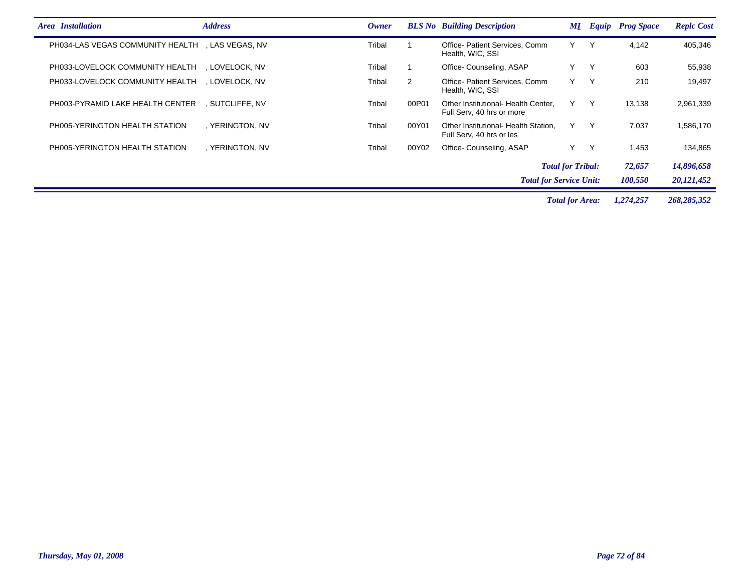| <b>Area</b> Installation                         | <b>Address</b>  | Owner  |                                | <b>BLS No</b> Building Description                               | ML | <b>Equip</b> | <b>Prog Space</b> | <b>Replc Cost</b> |
|--------------------------------------------------|-----------------|--------|--------------------------------|------------------------------------------------------------------|----|--------------|-------------------|-------------------|
| PH034-LAS VEGAS COMMUNITY HEALTH , LAS VEGAS, NV |                 | Tribal |                                | Office-Patient Services, Comm<br>Health, WIC, SSI                | Y  | Y            | 4,142             | 405,346           |
| PH033-LOVELOCK COMMUNITY HEALTH                  | . LOVELOCK. NV  | Tribal |                                | Office-Counseling, ASAP                                          | Y  | Y            | 603               | 55,938            |
| PH033-LOVELOCK COMMUNITY HEALTH                  | . LOVELOCK. NV  | Tribal | 2                              | Office-Patient Services, Comm<br>Health, WIC, SSI                | Y  | Y            | 210               | 19,497            |
| PH003-PYRAMID LAKE HEALTH CENTER                 | SUTCLIFFE. NV   | Tribal | 00P01                          | Other Institutional- Health Center,<br>Full Serv, 40 hrs or more | Y. | Y            | 13,138            | 2,961,339         |
| PH005-YERINGTON HEALTH STATION                   | . YERINGTON, NV | Tribal | 00Y01                          | Other Institutional- Health Station,<br>Full Serv, 40 hrs or les | Y  | Y            | 7,037             | 1,586,170         |
| PH005-YERINGTON HEALTH STATION                   | . YERINGTON, NV | Tribal | 00Y02                          | Office-Counseling, ASAP                                          | Y  | Y            | 1.453             | 134,865           |
|                                                  |                 |        |                                | <b>Total for Tribal:</b>                                         |    |              | 72,657            | 14,896,658        |
|                                                  |                 |        | <b>Total for Service Unit:</b> |                                                                  |    |              | 100,550           | 20,121,452        |

*Total for Area: 1,274,257 268,285,352*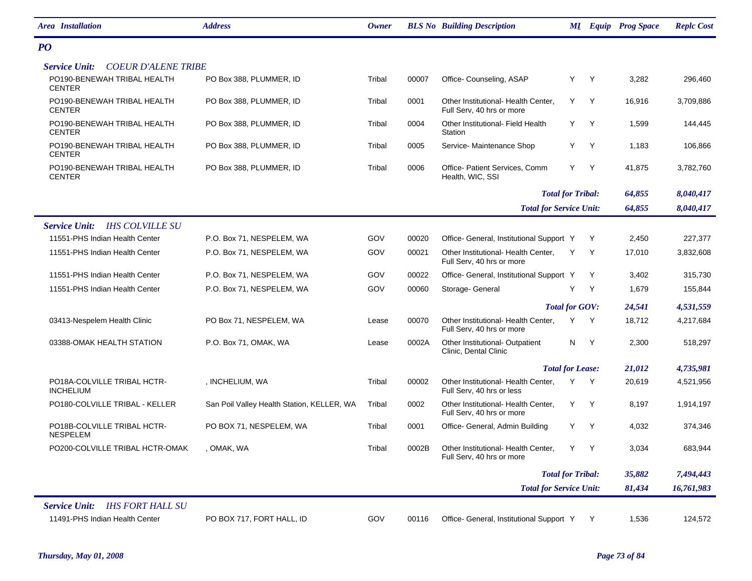| <b>Area</b> Installation                           | <b>Address</b>                             | <b>Owner</b> |       | <b>BLS No Building Description</b>                               |                       |              | <b>MI</b> Equip Prog Space | <b>Replc Cost</b> |
|----------------------------------------------------|--------------------------------------------|--------------|-------|------------------------------------------------------------------|-----------------------|--------------|----------------------------|-------------------|
| P <sub>O</sub>                                     |                                            |              |       |                                                                  |                       |              |                            |                   |
| <b>Service Unit:</b><br><b>COEUR D'ALENE TRIBE</b> |                                            |              |       |                                                                  |                       |              |                            |                   |
| PO190-BENEWAH TRIBAL HEALTH<br><b>CENTER</b>       | PO Box 388, PLUMMER, ID                    | Tribal       | 00007 | Office- Counseling, ASAP                                         | Y                     | Y            | 3,282                      | 296,460           |
| PO190-BENEWAH TRIBAL HEALTH<br><b>CENTER</b>       | PO Box 388, PLUMMER, ID                    | Tribal       | 0001  | Other Institutional- Health Center,<br>Full Serv, 40 hrs or more | Y                     | Y            | 16,916                     | 3,709,886         |
| PO190-BENEWAH TRIBAL HEALTH<br><b>CENTER</b>       | PO Box 388, PLUMMER, ID                    | Tribal       | 0004  | Other Institutional- Field Health<br>Station                     | Y.                    | Y            | 1,599                      | 144,445           |
| PO190-BENEWAH TRIBAL HEALTH<br><b>CENTER</b>       | PO Box 388, PLUMMER, ID                    | Tribal       | 0005  | Service-Maintenance Shop                                         | Y                     | Y            | 1,183                      | 106,866           |
| PO190-BENEWAH TRIBAL HEALTH<br><b>CENTER</b>       | PO Box 388, PLUMMER, ID                    | Tribal       | 0006  | Office- Patient Services, Comm<br>Health, WIC, SSI               | Y                     | Y            | 41,875                     | 3,782,760         |
|                                                    |                                            |              |       | <b>Total for Tribal:</b>                                         |                       |              | 64,855                     | 8,040,417         |
|                                                    |                                            |              |       | <b>Total for Service Unit:</b>                                   |                       |              | 64,855                     | 8,040,417         |
| <b>Service Unit:</b><br><b>IHS COLVILLE SU</b>     |                                            |              |       |                                                                  |                       |              |                            |                   |
| 11551-PHS Indian Health Center                     | P.O. Box 71, NESPELEM, WA                  | GOV          | 00020 | Office- General, Institutional Support Y                         |                       | Y            | 2,450                      | 227,377           |
| 11551-PHS Indian Health Center                     | P.O. Box 71, NESPELEM, WA                  | GOV          | 00021 | Other Institutional- Health Center,<br>Full Serv, 40 hrs or more | Y                     | Y            | 17,010                     | 3,832,608         |
| 11551-PHS Indian Health Center                     | P.O. Box 71, NESPELEM, WA                  | GOV          | 00022 | Office- General, Institutional Support Y                         |                       | Y            | 3,402                      | 315,730           |
| 11551-PHS Indian Health Center                     | P.O. Box 71, NESPELEM, WA                  | GOV          | 00060 | Storage- General                                                 | Y                     | Y            | 1,679                      | 155,844           |
|                                                    |                                            |              |       |                                                                  | <b>Total for GOV:</b> |              | 24,541                     | 4,531,559         |
| 03413-Nespelem Health Clinic                       | PO Box 71, NESPELEM, WA                    | Lease        | 00070 | Other Institutional- Health Center,<br>Full Serv, 40 hrs or more | Y                     | $\mathsf{Y}$ | 18,712                     | 4,217,684         |
| 03388-OMAK HEALTH STATION                          | P.O. Box 71, OMAK, WA                      | Lease        | 0002A | Other Institutional- Outpatient<br>Clinic, Dental Clinic         | N                     | Y            | 2,300                      | 518,297           |
|                                                    |                                            |              |       | <b>Total for Lease:</b>                                          |                       |              | 21,012                     | 4,735,981         |
| PO18A-COLVILLE TRIBAL HCTR-<br><b>INCHELIUM</b>    | , INCHELIUM, WA                            | Tribal       | 00002 | Other Institutional- Health Center,<br>Full Serv, 40 hrs or less | Y                     | $\mathsf{Y}$ | 20,619                     | 4,521,956         |
| PO180-COLVILLE TRIBAL - KELLER                     | San Poil Valley Health Station, KELLER, WA | Tribal       | 0002  | Other Institutional- Health Center,<br>Full Serv, 40 hrs or more | Y                     | Y            | 8,197                      | 1,914,197         |
| PO18B-COLVILLE TRIBAL HCTR-<br><b>NESPELEM</b>     | PO BOX 71, NESPELEM, WA                    | Tribal       | 0001  | Office- General, Admin Building                                  | Y                     | Y            | 4,032                      | 374,346           |
| PO200-COLVILLE TRIBAL HCTR-OMAK                    | , OMAK, WA                                 | Tribal       | 0002B | Other Institutional- Health Center,<br>Full Serv, 40 hrs or more | Y                     | Y            | 3,034                      | 683,944           |
|                                                    |                                            |              |       | <b>Total for Tribal:</b>                                         |                       |              | 35,882                     | 7,494,443         |
|                                                    |                                            |              |       | <b>Total for Service Unit:</b>                                   |                       |              | 81,434                     | 16,761,983        |
| <b>Service Unit:</b><br><b>IHS FORT HALL SU</b>    |                                            |              |       |                                                                  |                       |              |                            |                   |
| 11491-PHS Indian Health Center                     | PO BOX 717, FORT HALL, ID                  | GOV          | 00116 | Office- General, Institutional Support Y                         |                       | Y            | 1,536                      | 124,572           |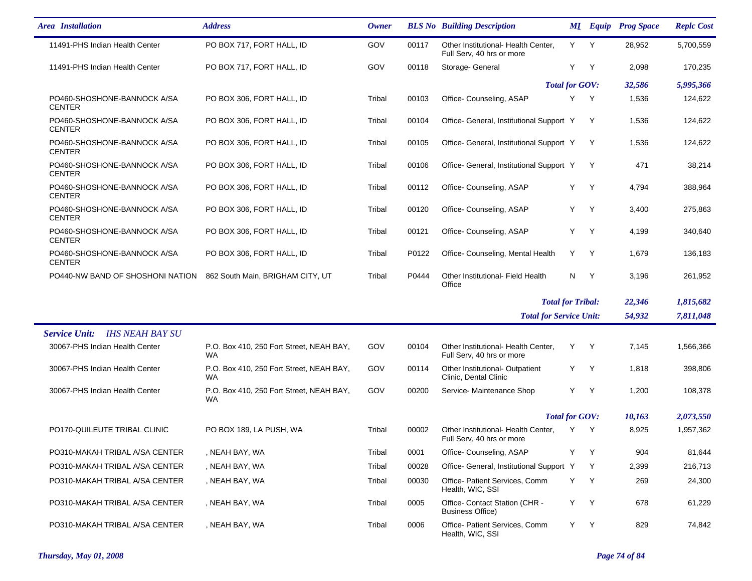| <b>Area</b> Installation                       | <b>Address</b>                                        | <b>Owner</b> |       | <b>BLS No</b> Building Description                               |     | <b>MI</b> Equip | <b>Prog Space</b> | <b>Replc Cost</b> |
|------------------------------------------------|-------------------------------------------------------|--------------|-------|------------------------------------------------------------------|-----|-----------------|-------------------|-------------------|
| 11491-PHS Indian Health Center                 | PO BOX 717, FORT HALL, ID                             | GOV          | 00117 | Other Institutional- Health Center,<br>Full Serv, 40 hrs or more | Y Y |                 | 28,952            | 5,700,559         |
| 11491-PHS Indian Health Center                 | PO BOX 717, FORT HALL, ID                             | GOV          | 00118 | Storage- General                                                 | Y   | Y               | 2,098             | 170,235           |
|                                                |                                                       |              |       | <b>Total for GOV:</b>                                            |     |                 | 32,586            | 5,995,366         |
| PO460-SHOSHONE-BANNOCK A/SA<br><b>CENTER</b>   | PO BOX 306, FORT HALL, ID                             | Tribal       | 00103 | Office-Counseling, ASAP                                          | Y   | Y               | 1,536             | 124,622           |
| PO460-SHOSHONE-BANNOCK A/SA<br><b>CENTER</b>   | PO BOX 306, FORT HALL, ID                             | Tribal       | 00104 | Office- General, Institutional Support Y                         |     | Y               | 1,536             | 124,622           |
| PO460-SHOSHONE-BANNOCK A/SA<br><b>CENTER</b>   | PO BOX 306, FORT HALL, ID                             | Tribal       | 00105 | Office- General, Institutional Support Y                         |     | Y               | 1,536             | 124,622           |
| PO460-SHOSHONE-BANNOCK A/SA<br><b>CENTER</b>   | PO BOX 306, FORT HALL, ID                             | Tribal       | 00106 | Office- General, Institutional Support Y                         |     | Y               | 471               | 38,214            |
| PO460-SHOSHONE-BANNOCK A/SA<br><b>CENTER</b>   | PO BOX 306, FORT HALL, ID                             | Tribal       | 00112 | Office-Counseling, ASAP                                          | Υ   | Y               | 4,794             | 388,964           |
| PO460-SHOSHONE-BANNOCK A/SA<br><b>CENTER</b>   | PO BOX 306, FORT HALL, ID                             | Tribal       | 00120 | Office-Counseling, ASAP                                          | Y   | Y               | 3,400             | 275,863           |
| PO460-SHOSHONE-BANNOCK A/SA<br><b>CENTER</b>   | PO BOX 306, FORT HALL, ID                             | Tribal       | 00121 | Office-Counseling, ASAP                                          | Υ   | Y               | 4,199             | 340,640           |
| PO460-SHOSHONE-BANNOCK A/SA<br><b>CENTER</b>   | PO BOX 306, FORT HALL, ID                             | Tribal       | P0122 | Office- Counseling, Mental Health                                | Y   | $\mathsf{Y}$    | 1,679             | 136,183           |
| PO440-NW BAND OF SHOSHONI NATION               | 862 South Main, BRIGHAM CITY, UT                      | Tribal       | P0444 | Other Institutional- Field Health<br>Office                      | N   | Y               | 3,196             | 261,952           |
|                                                |                                                       |              |       | <b>Total for Tribal:</b>                                         |     |                 | 22,346            | 1,815,682         |
|                                                |                                                       |              |       | <b>Total for Service Unit:</b>                                   |     |                 | 54,932            | 7,811,048         |
| <b>IHS NEAH BAY SU</b><br><b>Service Unit:</b> |                                                       |              |       |                                                                  |     |                 |                   |                   |
| 30067-PHS Indian Health Center                 | P.O. Box 410, 250 Fort Street, NEAH BAY,<br>WA.       | GOV          | 00104 | Other Institutional- Health Center,<br>Full Serv, 40 hrs or more | Y   | Y               | 7,145             | 1,566,366         |
| 30067-PHS Indian Health Center                 | P.O. Box 410, 250 Fort Street, NEAH BAY,<br><b>WA</b> | GOV          | 00114 | Other Institutional- Outpatient<br>Clinic, Dental Clinic         | Y   | Y               | 1,818             | 398,806           |
| 30067-PHS Indian Health Center                 | P.O. Box 410, 250 Fort Street, NEAH BAY,<br>WA        | GOV          | 00200 | Service- Maintenance Shop                                        | Y   | Y               | 1,200             | 108,378           |
|                                                |                                                       |              |       | <b>Total for GOV:</b>                                            |     |                 | 10,163            | 2,073,550         |
| PO170-QUILEUTE TRIBAL CLINIC                   | PO BOX 189, LA PUSH, WA                               | Tribal       | 00002 | Other Institutional- Health Center,<br>Full Serv, 40 hrs or more | Y   | Y               | 8,925             | 1,957,362         |
| PO310-MAKAH TRIBAL A/SA CENTER                 | , NEAH BAY, WA                                        | Tribal       | 0001  | Office-Counseling, ASAP                                          | Y   | Y               | 904               | 81,644            |
| PO310-MAKAH TRIBAL A/SA CENTER                 | , NEAH BAY, WA                                        | Tribal       | 00028 | Office- General, Institutional Support Y                         |     | Y               | 2,399             | 216,713           |
| PO310-MAKAH TRIBAL A/SA CENTER                 | , NEAH BAY, WA                                        | Tribal       | 00030 | Office- Patient Services, Comm<br>Health, WIC, SSI               | Y   | Y               | 269               | 24,300            |
| PO310-MAKAH TRIBAL A/SA CENTER                 | , NEAH BAY, WA                                        | Tribal       | 0005  | Office- Contact Station (CHR -<br><b>Business Office)</b>        | Y   | Y               | 678               | 61,229            |
| PO310-MAKAH TRIBAL A/SA CENTER                 | , NEAH BAY, WA                                        | Tribal       | 0006  | Office- Patient Services, Comm<br>Health, WIC, SSI               | Y   | Y               | 829               | 74,842            |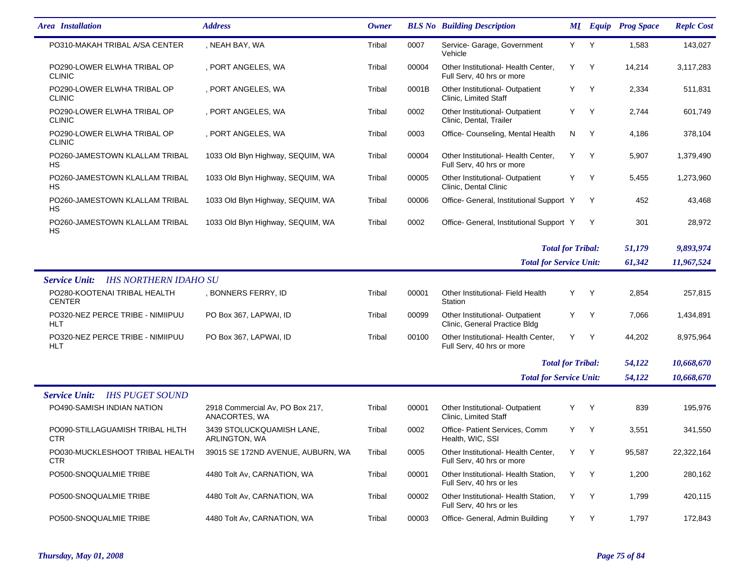| <b>Area</b> Installation                             | <b>Address</b>                                   | Owner  |       | <b>BLS No</b> Building Description                               |     |              | <b>MI</b> Equip Prog Space | <b>Replc Cost</b> |
|------------------------------------------------------|--------------------------------------------------|--------|-------|------------------------------------------------------------------|-----|--------------|----------------------------|-------------------|
| PO310-MAKAH TRIBAL A/SA CENTER                       | , NEAH BAY, WA                                   | Tribal | 0007  | Service- Garage, Government<br>Vehicle                           | Y Y |              | 1,583                      | 143,027           |
| PO290-LOWER ELWHA TRIBAL OP<br><b>CLINIC</b>         | , PORT ANGELES, WA                               | Tribal | 00004 | Other Institutional- Health Center,<br>Full Serv, 40 hrs or more | Y   | Y            | 14,214                     | 3,117,283         |
| PO290-LOWER ELWHA TRIBAL OP<br><b>CLINIC</b>         | , PORT ANGELES, WA                               | Tribal | 0001B | Other Institutional- Outpatient<br>Clinic, Limited Staff         | Y   | Y            | 2,334                      | 511,831           |
| PO290-LOWER ELWHA TRIBAL OP<br><b>CLINIC</b>         | , PORT ANGELES, WA                               | Tribal | 0002  | Other Institutional- Outpatient<br>Clinic, Dental, Trailer       | Y   | Y            | 2,744                      | 601,749           |
| PO290-LOWER ELWHA TRIBAL OP<br><b>CLINIC</b>         | , PORT ANGELES, WA                               | Tribal | 0003  | Office-Counseling, Mental Health                                 | N   | Y            | 4,186                      | 378,104           |
| PO260-JAMESTOWN KLALLAM TRIBAL<br>HS                 | 1033 Old Blyn Highway, SEQUIM, WA                | Tribal | 00004 | Other Institutional- Health Center,<br>Full Serv, 40 hrs or more | Y   | Y            | 5,907                      | 1,379,490         |
| PO260-JAMESTOWN KLALLAM TRIBAL<br>НS                 | 1033 Old Blyn Highway, SEQUIM, WA                | Tribal | 00005 | Other Institutional- Outpatient<br>Clinic, Dental Clinic         | Y   | Y            | 5,455                      | 1,273,960         |
| PO260-JAMESTOWN KLALLAM TRIBAL<br>HS                 | 1033 Old Blyn Highway, SEQUIM, WA                | Tribal | 00006 | Office- General, Institutional Support Y                         |     | Y            | 452                        | 43,468            |
| PO260-JAMESTOWN KLALLAM TRIBAL<br>НS                 | 1033 Old Blyn Highway, SEQUIM, WA                | Tribal | 0002  | Office- General, Institutional Support Y                         |     | Y            | 301                        | 28,972            |
|                                                      |                                                  |        |       | <b>Total for Tribal:</b>                                         |     |              | 51,179                     | 9,893,974         |
|                                                      |                                                  |        |       | <b>Total for Service Unit:</b>                                   |     |              | 61,342                     | 11,967,524        |
| <b>IHS NORTHERN IDAHO SU</b><br><b>Service Unit:</b> |                                                  |        |       |                                                                  |     |              |                            |                   |
| PO280-KOOTENAI TRIBAL HEALTH<br><b>CENTER</b>        | , BONNERS FERRY, ID                              | Tribal | 00001 | Other Institutional- Field Health<br>Station                     | Y   | Y            | 2,854                      | 257,815           |
| PO320-NEZ PERCE TRIBE - NIMIIPUU<br><b>HLT</b>       | PO Box 367, LAPWAI, ID                           | Tribal | 00099 | Other Institutional- Outpatient<br>Clinic, General Practice Bldg | Y   | Y            | 7,066                      | 1,434,891         |
| PO320-NEZ PERCE TRIBE - NIMIIPUU<br>HLT              | PO Box 367, LAPWAI, ID                           | Tribal | 00100 | Other Institutional- Health Center,<br>Full Serv, 40 hrs or more | Y   | Y            | 44,202                     | 8,975,964         |
|                                                      |                                                  |        |       | <b>Total for Tribal:</b>                                         |     |              | 54,122                     | 10,668,670        |
|                                                      |                                                  |        |       | <b>Total for Service Unit:</b>                                   |     |              | 54,122                     | 10,668,670        |
| <b>Service Unit:</b><br><b>IHS PUGET SOUND</b>       |                                                  |        |       |                                                                  |     |              |                            |                   |
| PO490-SAMISH INDIAN NATION                           | 2918 Commercial Av, PO Box 217,<br>ANACORTES, WA | Tribal | 00001 | Other Institutional- Outpatient<br>Clinic, Limited Staff         | Y   | Y            | 839                        | 195,976           |
| PO090-STILLAGUAMISH TRIBAL HLTH<br>CTR.              | 3439 STOLUCKQUAMISH LANE,<br>ARLINGTON, WA       | Tribal | 0002  | Office- Patient Services, Comm<br>Health, WIC, SSI               | Y   | Y            | 3,551                      | 341,550           |
| PO030-MUCKLESHOOT TRIBAL HEALTH<br>CTR               | 39015 SE 172ND AVENUE, AUBURN, WA                | Tribal | 0005  | Other Institutional- Health Center,<br>Full Serv, 40 hrs or more | Y   | <sup>Y</sup> | 95,587                     | 22,322,164        |
| PO500-SNOQUALMIE TRIBE                               | 4480 Tolt Av, CARNATION, WA                      | Tribal | 00001 | Other Institutional- Health Station,<br>Full Serv, 40 hrs or les | Y   | - Y          | 1,200                      | 280,162           |
| PO500-SNOQUALMIE TRIBE                               | 4480 Tolt Av, CARNATION, WA                      | Tribal | 00002 | Other Institutional- Health Station,<br>Full Serv, 40 hrs or les | Y   | <sup>Y</sup> | 1,799                      | 420,115           |
| PO500-SNOQUALMIE TRIBE                               | 4480 Tolt Av, CARNATION, WA                      | Tribal | 00003 | Office- General, Admin Building                                  | Y Y |              | 1,797                      | 172,843           |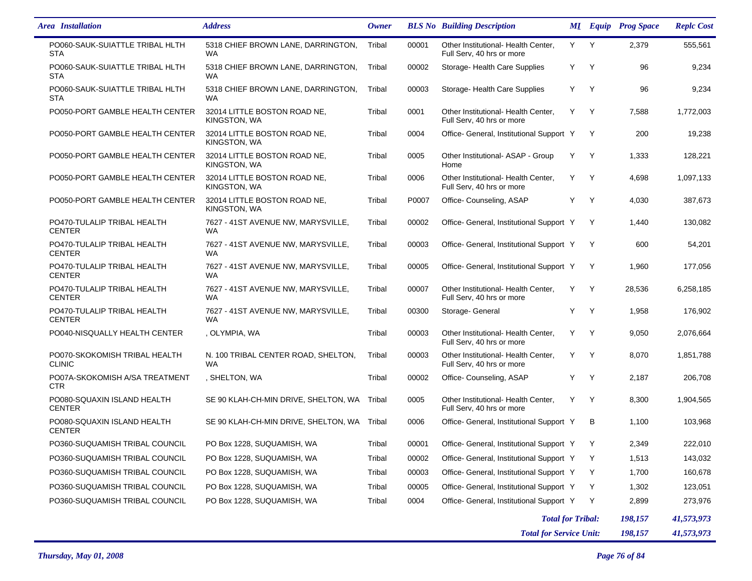| <b>Area</b> Installation                       | <b>Address</b>                                   | <b>Owner</b> |       | <b>BLS No</b> Building Description                               |   |              | <b>MI</b> Equip Prog Space | <b>Replc Cost</b> |
|------------------------------------------------|--------------------------------------------------|--------------|-------|------------------------------------------------------------------|---|--------------|----------------------------|-------------------|
| PO060-SAUK-SUIATTLE TRIBAL HLTH<br><b>STA</b>  | 5318 CHIEF BROWN LANE, DARRINGTON,<br><b>WA</b>  | Tribal       | 00001 | Other Institutional- Health Center.<br>Full Serv, 40 hrs or more | Y | Y            | 2,379                      | 555,561           |
| PO060-SAUK-SUIATTLE TRIBAL HLTH<br><b>STA</b>  | 5318 CHIEF BROWN LANE, DARRINGTON,<br><b>WA</b>  | Tribal       | 00002 | Storage- Health Care Supplies                                    | Y | Y            | 96                         | 9,234             |
| PO060-SAUK-SUIATTLE TRIBAL HLTH<br><b>STA</b>  | 5318 CHIEF BROWN LANE, DARRINGTON,<br><b>WA</b>  | Tribal       | 00003 | Storage- Health Care Supplies                                    | Y | Y            | 96                         | 9,234             |
| PO050-PORT GAMBLE HEALTH CENTER                | 32014 LITTLE BOSTON ROAD NE.<br>KINGSTON, WA     | Tribal       | 0001  | Other Institutional- Health Center,<br>Full Serv, 40 hrs or more | Y | $\mathsf{Y}$ | 7,588                      | 1,772,003         |
| PO050-PORT GAMBLE HEALTH CENTER                | 32014 LITTLE BOSTON ROAD NE.<br>KINGSTON, WA     | Tribal       | 0004  | Office- General, Institutional Support Y                         |   | Y            | 200                        | 19,238            |
| PO050-PORT GAMBLE HEALTH CENTER                | 32014 LITTLE BOSTON ROAD NE,<br>KINGSTON, WA     | Tribal       | 0005  | Other Institutional- ASAP - Group<br>Home                        | Y | Y            | 1,333                      | 128,221           |
| PO050-PORT GAMBLE HEALTH CENTER                | 32014 LITTLE BOSTON ROAD NE,<br>KINGSTON, WA     | Tribal       | 0006  | Other Institutional- Health Center,<br>Full Serv, 40 hrs or more | Y | Y            | 4,698                      | 1,097,133         |
| PO050-PORT GAMBLE HEALTH CENTER                | 32014 LITTLE BOSTON ROAD NE,<br>KINGSTON, WA     | Tribal       | P0007 | Office- Counseling, ASAP                                         | Y | $\mathsf{Y}$ | 4,030                      | 387,673           |
| PO470-TULALIP TRIBAL HEALTH<br><b>CENTER</b>   | 7627 - 41ST AVENUE NW, MARYSVILLE,<br><b>WA</b>  | Tribal       | 00002 | Office- General, Institutional Support Y                         |   | Y            | 1,440                      | 130,082           |
| PO470-TULALIP TRIBAL HEALTH<br><b>CENTER</b>   | 7627 - 41ST AVENUE NW, MARYSVILLE,<br><b>WA</b>  | Tribal       | 00003 | Office- General, Institutional Support Y                         |   | Y            | 600                        | 54,201            |
| PO470-TULALIP TRIBAL HEALTH<br><b>CENTER</b>   | 7627 - 41ST AVENUE NW, MARYSVILLE,<br><b>WA</b>  | Tribal       | 00005 | Office- General, Institutional Support Y                         |   | Y            | 1,960                      | 177,056           |
| PO470-TULALIP TRIBAL HEALTH<br><b>CENTER</b>   | 7627 - 41ST AVENUE NW. MARYSVILLE.<br>WA         | Tribal       | 00007 | Other Institutional- Health Center,<br>Full Serv, 40 hrs or more | Y | Y            | 28,536                     | 6,258,185         |
| PO470-TULALIP TRIBAL HEALTH<br><b>CENTER</b>   | 7627 - 41ST AVENUE NW, MARYSVILLE,<br>WA         | Tribal       | 00300 | Storage- General                                                 | Y | Y            | 1,958                      | 176,902           |
| PO040-NISQUALLY HEALTH CENTER                  | , OLYMPIA, WA                                    | Tribal       | 00003 | Other Institutional- Health Center,<br>Full Serv, 40 hrs or more | Y | Y            | 9,050                      | 2,076,664         |
| PO070-SKOKOMISH TRIBAL HEALTH<br><b>CLINIC</b> | N. 100 TRIBAL CENTER ROAD, SHELTON,<br><b>WA</b> | Tribal       | 00003 | Other Institutional- Health Center,<br>Full Serv, 40 hrs or more | Y | Y            | 8,070                      | 1,851,788         |
| PO07A-SKOKOMISH A/SA TREATMENT<br><b>CTR</b>   | , SHELTON, WA                                    | Tribal       | 00002 | Office- Counseling, ASAP                                         | Y | Y            | 2,187                      | 206,708           |
| PO080-SQUAXIN ISLAND HEALTH<br><b>CENTER</b>   | SE 90 KLAH-CH-MIN DRIVE, SHELTON, WA             | Tribal       | 0005  | Other Institutional- Health Center,<br>Full Serv, 40 hrs or more | Y | Y            | 8,300                      | 1,904,565         |
| PO080-SQUAXIN ISLAND HEALTH<br><b>CENTER</b>   | SE 90 KLAH-CH-MIN DRIVE, SHELTON, WA             | Tribal       | 0006  | Office- General, Institutional Support Y                         |   | в            | 1,100                      | 103,968           |
| PO360-SUQUAMISH TRIBAL COUNCIL                 | PO Box 1228, SUQUAMISH, WA                       | Tribal       | 00001 | Office- General, Institutional Support Y                         |   |              | 2,349                      | 222,010           |
| PO360-SUQUAMISH TRIBAL COUNCIL                 | PO Box 1228, SUQUAMISH, WA                       | Tribal       | 00002 | Office- General, Institutional Support Y                         |   | Y            | 1,513                      | 143,032           |
| PO360-SUQUAMISH TRIBAL COUNCIL                 | PO Box 1228, SUQUAMISH, WA                       | Tribal       | 00003 | Office- General, Institutional Support Y                         |   | Y            | 1,700                      | 160,678           |
| PO360-SUQUAMISH TRIBAL COUNCIL                 | PO Box 1228, SUQUAMISH, WA                       | Tribal       | 00005 | Office- General, Institutional Support Y                         |   | Y            | 1,302                      | 123,051           |
| PO360-SUQUAMISH TRIBAL COUNCIL                 | PO Box 1228, SUQUAMISH, WA                       | Tribal       | 0004  | Office- General, Institutional Support Y                         |   | Y            | 2,899                      | 273,976           |
|                                                |                                                  |              |       | <b>Total for Tribal:</b>                                         |   |              | 198,157                    | 41,573,973        |
|                                                |                                                  |              |       | <b>Total for Service Unit:</b>                                   |   |              | 198,157                    | 41,573,973        |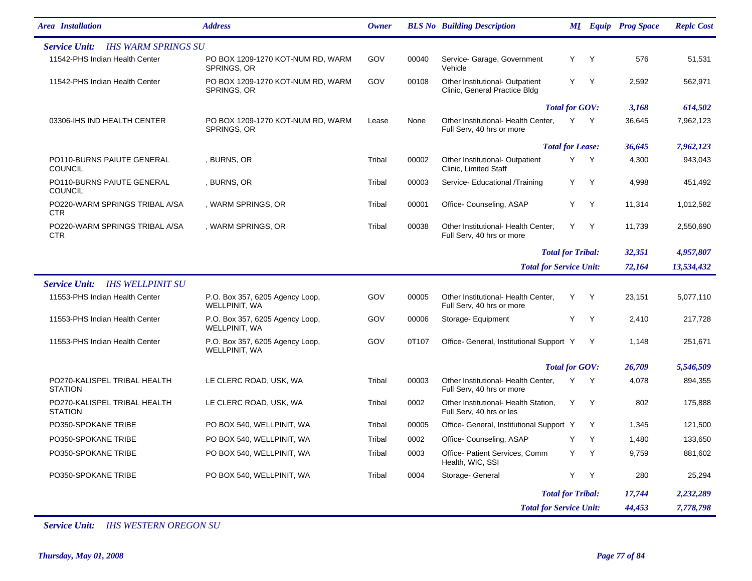| <b>Area</b> Installation                           | <b>Address</b>                                   | <b>Owner</b> |       | <b>BLS No</b> Building Description                               |                          |              | <b>MI</b> Equip Prog Space | <b>Replc Cost</b> |
|----------------------------------------------------|--------------------------------------------------|--------------|-------|------------------------------------------------------------------|--------------------------|--------------|----------------------------|-------------------|
| <b>IHS WARM SPRINGS SU</b><br><b>Service Unit:</b> |                                                  |              |       |                                                                  |                          |              |                            |                   |
| 11542-PHS Indian Health Center                     | PO BOX 1209-1270 KOT-NUM RD, WARM<br>SPRINGS, OR | GOV          | 00040 | Service- Garage, Government<br>Vehicle                           | Y                        | $\mathsf{Y}$ | 576                        | 51,531            |
| 11542-PHS Indian Health Center                     | PO BOX 1209-1270 KOT-NUM RD, WARM<br>SPRINGS, OR | GOV          | 00108 | Other Institutional- Outpatient<br>Clinic, General Practice Bldg | Y.                       | $\mathsf{Y}$ | 2,592                      | 562,971           |
|                                                    |                                                  |              |       |                                                                  | <b>Total for GOV:</b>    |              | 3,168                      | 614,502           |
| 03306-IHS IND HEALTH CENTER                        | PO BOX 1209-1270 KOT-NUM RD, WARM<br>SPRINGS, OR | Lease        | None  | Other Institutional- Health Center,<br>Full Serv, 40 hrs or more | Y                        | $\mathsf{Y}$ | 36,645                     | 7,962,123         |
|                                                    |                                                  |              |       |                                                                  | <b>Total for Lease:</b>  |              | 36,645                     | 7,962,123         |
| PO110-BURNS PAIUTE GENERAL<br><b>COUNCIL</b>       | , BURNS, OR                                      | Tribal       | 00002 | Other Institutional- Outpatient<br>Clinic, Limited Staff         | Y.                       | $\mathsf{Y}$ | 4,300                      | 943,043           |
| PO110-BURNS PAIUTE GENERAL<br><b>COUNCIL</b>       | , BURNS, OR                                      | Tribal       | 00003 | Service- Educational /Training                                   | Y                        | $\mathsf{Y}$ | 4,998                      | 451,492           |
| PO220-WARM SPRINGS TRIBAL A/SA<br><b>CTR</b>       | , WARM SPRINGS, OR                               | Tribal       | 00001 | Office-Counseling, ASAP                                          | Y.                       | Y            | 11,314                     | 1,012,582         |
| PO220-WARM SPRINGS TRIBAL A/SA<br><b>CTR</b>       | , WARM SPRINGS, OR                               | Tribal       | 00038 | Other Institutional- Health Center,<br>Full Serv, 40 hrs or more | Y Y                      |              | 11,739                     | 2,550,690         |
|                                                    |                                                  |              |       |                                                                  | <b>Total for Tribal:</b> |              | 32,351                     | 4,957,807         |
|                                                    |                                                  |              |       | <b>Total for Service Unit:</b>                                   |                          |              | 72,164                     | 13,534,432        |
| <b>IHS WELLPINIT SU</b><br><b>Service Unit:</b>    |                                                  |              |       |                                                                  |                          |              |                            |                   |
| 11553-PHS Indian Health Center                     | P.O. Box 357, 6205 Agency Loop,<br>WELLPINIT, WA | GOV          | 00005 | Other Institutional- Health Center,<br>Full Serv, 40 hrs or more | Y                        | Y            | 23,151                     | 5,077,110         |
| 11553-PHS Indian Health Center                     | P.O. Box 357, 6205 Agency Loop,<br>WELLPINIT, WA | GOV          | 00006 | Storage- Equipment                                               | Y                        | Y            | 2,410                      | 217,728           |
| 11553-PHS Indian Health Center                     | P.O. Box 357, 6205 Agency Loop,<br>WELLPINIT, WA | GOV          | 0T107 | Office- General, Institutional Support Y                         |                          | Y            | 1,148                      | 251,671           |
|                                                    |                                                  |              |       |                                                                  | <b>Total for GOV:</b>    |              | 26,709                     | 5,546,509         |
| PO270-KALISPEL TRIBAL HEALTH<br><b>STATION</b>     | LE CLERC ROAD, USK, WA                           | Tribal       | 00003 | Other Institutional- Health Center,<br>Full Serv, 40 hrs or more | Y                        | <b>Y</b>     | 4,078                      | 894,355           |
| PO270-KALISPEL TRIBAL HEALTH<br><b>STATION</b>     | LE CLERC ROAD, USK, WA                           | Tribal       | 0002  | Other Institutional- Health Station,<br>Full Serv, 40 hrs or les | Y                        | Y            | 802                        | 175,888           |
| PO350-SPOKANE TRIBE                                | PO BOX 540, WELLPINIT, WA                        | Tribal       | 00005 | Office- General, Institutional Support Y                         |                          | Y            | 1,345                      | 121,500           |
| PO350-SPOKANE TRIBE                                | PO BOX 540, WELLPINIT, WA                        | Tribal       | 0002  | Office-Counseling, ASAP                                          | Y Y                      |              | 1,480                      | 133,650           |
| PO350-SPOKANE TRIBE                                | PO BOX 540, WELLPINIT, WA                        | Tribal       | 0003  | Office- Patient Services, Comm<br>Health, WIC, SSI               | Y Y                      |              | 9,759                      | 881,602           |
| PO350-SPOKANE TRIBE                                | PO BOX 540, WELLPINIT, WA                        | Tribal       | 0004  | Storage- General                                                 | Y                        | Y            | 280                        | 25,294            |
|                                                    |                                                  |              |       |                                                                  | <b>Total for Tribal:</b> |              | 17,744                     | 2,232,289         |
|                                                    |                                                  |              |       | <b>Total for Service Unit:</b>                                   |                          |              | 44,453                     | 7,778,798         |

*Service Unit: IHS WESTERN OREGON SU*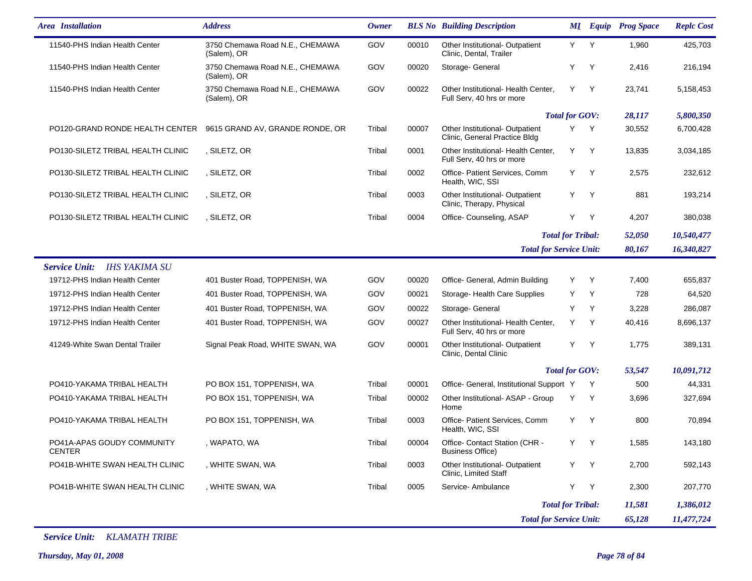| <b>Area</b> Installation                    | <b>Address</b>                                 | Owner  |       | <b>BLS No</b> Building Description                               |                          |              | <b>MI</b> Equip Prog Space | <b>Replc Cost</b> |
|---------------------------------------------|------------------------------------------------|--------|-------|------------------------------------------------------------------|--------------------------|--------------|----------------------------|-------------------|
| 11540-PHS Indian Health Center              | 3750 Chemawa Road N.E., CHEMAWA<br>(Salem), OR | GOV    | 00010 | Other Institutional- Outpatient<br>Clinic, Dental, Trailer       | Y -                      | Y            | 1,960                      | 425,703           |
| 11540-PHS Indian Health Center              | 3750 Chemawa Road N.E., CHEMAWA<br>(Salem), OR | GOV    | 00020 | Storage- General                                                 | Y                        | Y            | 2,416                      | 216,194           |
| 11540-PHS Indian Health Center              | 3750 Chemawa Road N.E., CHEMAWA<br>(Salem), OR | GOV    | 00022 | Other Institutional- Health Center,<br>Full Serv, 40 hrs or more | Y.                       | Y            | 23,741                     | 5,158,453         |
|                                             |                                                |        |       |                                                                  | <b>Total for GOV:</b>    |              | 28,117                     | 5,800,350         |
| PO120-GRAND RONDE HEALTH CENTER             | 9615 GRAND AV, GRANDE RONDE, OR                | Tribal | 00007 | Other Institutional- Outpatient<br>Clinic, General Practice Bldg | Y.                       | Y            | 30,552                     | 6,700,428         |
| PO130-SILETZ TRIBAL HEALTH CLINIC           | , SILETZ, OR                                   | Tribal | 0001  | Other Institutional- Health Center,<br>Full Serv, 40 hrs or more | Y                        | Y            | 13,835                     | 3,034,185         |
| PO130-SILETZ TRIBAL HEALTH CLINIC           | , SILETZ, OR                                   | Tribal | 0002  | Office- Patient Services, Comm<br>Health, WIC, SSI               | Y                        | Y            | 2,575                      | 232,612           |
| PO130-SILETZ TRIBAL HEALTH CLINIC           | , SILETZ, OR                                   | Tribal | 0003  | Other Institutional- Outpatient<br>Clinic, Therapy, Physical     | Y                        | Y            | 881                        | 193,214           |
| PO130-SILETZ TRIBAL HEALTH CLINIC           | , SILETZ, OR                                   | Tribal | 0004  | Office-Counseling, ASAP                                          | Y                        | Y            | 4,207                      | 380,038           |
|                                             |                                                |        |       |                                                                  | <b>Total for Tribal:</b> |              | 52,050                     | 10,540,477        |
|                                             |                                                |        |       | <b>Total for Service Unit:</b>                                   |                          |              | 80,167                     | 16,340,827        |
| <b>Service Unit:</b><br>IHS YAKIMA SU       |                                                |        |       |                                                                  |                          |              |                            |                   |
| 19712-PHS Indian Health Center              | 401 Buster Road, TOPPENISH, WA                 | GOV    | 00020 | Office- General, Admin Building                                  | Y                        | Y            | 7,400                      | 655,837           |
| 19712-PHS Indian Health Center              | 401 Buster Road, TOPPENISH, WA                 | GOV    | 00021 | Storage- Health Care Supplies                                    | Y                        | Y            | 728                        | 64,520            |
| 19712-PHS Indian Health Center              | 401 Buster Road, TOPPENISH, WA                 | GOV    | 00022 | Storage- General                                                 | Y                        | Y            | 3,228                      | 286,087           |
| 19712-PHS Indian Health Center              | 401 Buster Road, TOPPENISH, WA                 | GOV    | 00027 | Other Institutional- Health Center,<br>Full Serv, 40 hrs or more | Y                        | Y            | 40,416                     | 8,696,137         |
| 41249-White Swan Dental Trailer             | Signal Peak Road, WHITE SWAN, WA               | GOV    | 00001 | Other Institutional- Outpatient<br>Clinic, Dental Clinic         | Y                        | Y            | 1,775                      | 389,131           |
|                                             |                                                |        |       |                                                                  | <b>Total for GOV:</b>    |              | 53,547                     | 10,091,712        |
| PO410-YAKAMA TRIBAL HEALTH                  | PO BOX 151, TOPPENISH, WA                      | Tribal | 00001 | Office- General, Institutional Support Y                         |                          | Y            | 500                        | 44,331            |
| PO410-YAKAMA TRIBAL HEALTH                  | PO BOX 151, TOPPENISH, WA                      | Tribal | 00002 | Other Institutional- ASAP - Group<br>Home                        | Y                        | Y            | 3,696                      | 327,694           |
| PO410-YAKAMA TRIBAL HEALTH                  | PO BOX 151, TOPPENISH, WA                      | Tribal | 0003  | Office- Patient Services, Comm<br>Health, WIC, SSI               | Y                        | Y            | 800                        | 70,894            |
| PO41A-APAS GOUDY COMMUNITY<br><b>CENTER</b> | , WAPATO, WA                                   | Tribal | 00004 | Office- Contact Station (CHR -<br><b>Business Office)</b>        | Y                        | <sup>Y</sup> | 1,585                      | 143,180           |
| PO41B-WHITE SWAN HEALTH CLINIC              | , WHITE SWAN, WA                               | Tribal | 0003  | Other Institutional- Outpatient<br>Clinic, Limited Staff         | Y Y                      |              | 2,700                      | 592,143           |
| PO41B-WHITE SWAN HEALTH CLINIC              | , WHITE SWAN, WA                               | Tribal | 0005  | Service- Ambulance                                               | Y                        | Y            | 2,300                      | 207,770           |
|                                             |                                                |        |       |                                                                  | <b>Total for Tribal:</b> |              | 11,581                     | 1,386,012         |
|                                             |                                                |        |       | <b>Total for Service Unit:</b>                                   |                          |              | 65,128                     | 11,477,724        |

*Service Unit: KLAMATH TRIBE*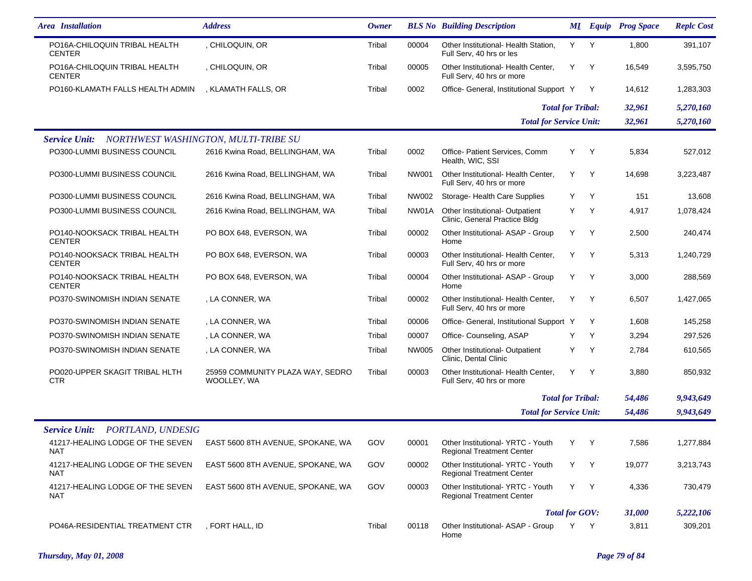| <b>Area</b> Installation                       | <b>Address</b>                                  | <b>Owner</b> |       | <b>BLS No</b> Building Description                                   |     |              | <b>MI</b> Equip Prog Space | <b>Replc Cost</b> |
|------------------------------------------------|-------------------------------------------------|--------------|-------|----------------------------------------------------------------------|-----|--------------|----------------------------|-------------------|
| PO16A-CHILOQUIN TRIBAL HEALTH<br><b>CENTER</b> | , CHILOQUIN, OR                                 | Tribal       | 00004 | Other Institutional- Health Station,<br>Full Serv, 40 hrs or les     | Y.  | Y            | 1,800                      | 391,107           |
| PO16A-CHILOQUIN TRIBAL HEALTH<br><b>CENTER</b> | , CHILOQUIN, OR                                 | Tribal       | 00005 | Other Institutional- Health Center,<br>Full Serv, 40 hrs or more     | Y   | Y            | 16,549                     | 3,595,750         |
| PO160-KLAMATH FALLS HEALTH ADMIN               | , KLAMATH FALLS, OR                             | Tribal       | 0002  | Office- General, Institutional Support Y                             |     | Y            | 14,612                     | 1,283,303         |
|                                                |                                                 |              |       | <b>Total for Tribal:</b>                                             |     |              | 32,961                     | 5,270,160         |
|                                                |                                                 |              |       | <b>Total for Service Unit:</b>                                       |     |              | 32,961                     | 5,270,160         |
| <b>Service Unit:</b>                           | NORTHWEST WASHINGTON, MULTI-TRIBE SU            |              |       |                                                                      |     |              |                            |                   |
| PO300-LUMMI BUSINESS COUNCIL                   | 2616 Kwina Road, BELLINGHAM, WA                 | Tribal       | 0002  | Office- Patient Services, Comm<br>Health, WIC, SSI                   | Y   | Y            | 5,834                      | 527,012           |
| PO300-LUMMI BUSINESS COUNCIL                   | 2616 Kwina Road, BELLINGHAM, WA                 | Tribal       | NW001 | Other Institutional- Health Center,<br>Full Serv, 40 hrs or more     | Y   | Y            | 14,698                     | 3,223,487         |
| PO300-LUMMI BUSINESS COUNCIL                   | 2616 Kwina Road, BELLINGHAM, WA                 | Tribal       | NW002 | Storage- Health Care Supplies                                        | Y   | Y            | 151                        | 13,608            |
| PO300-LUMMI BUSINESS COUNCIL                   | 2616 Kwina Road, BELLINGHAM, WA                 | Tribal       | NW01A | Other Institutional- Outpatient<br>Clinic, General Practice Bldg     | Y   | $\mathsf{Y}$ | 4,917                      | 1,078,424         |
| PO140-NOOKSACK TRIBAL HEALTH<br><b>CENTER</b>  | PO BOX 648, EVERSON, WA                         | Tribal       | 00002 | Other Institutional- ASAP - Group<br>Home                            | Y   | Y            | 2,500                      | 240,474           |
| PO140-NOOKSACK TRIBAL HEALTH<br><b>CENTER</b>  | PO BOX 648, EVERSON, WA                         | Tribal       | 00003 | Other Institutional- Health Center,<br>Full Serv, 40 hrs or more     | Y   | Y            | 5,313                      | 1,240,729         |
| PO140-NOOKSACK TRIBAL HEALTH<br><b>CENTER</b>  | PO BOX 648, EVERSON, WA                         | Tribal       | 00004 | Other Institutional- ASAP - Group<br>Home                            | Y   | Y            | 3,000                      | 288,569           |
| PO370-SWINOMISH INDIAN SENATE                  | , LA CONNER, WA                                 | Tribal       | 00002 | Other Institutional- Health Center,<br>Full Serv, 40 hrs or more     | Y   | Y            | 6,507                      | 1,427,065         |
| PO370-SWINOMISH INDIAN SENATE                  | , LA CONNER, WA                                 | Tribal       | 00006 | Office- General, Institutional Support Y                             |     | Y            | 1,608                      | 145,258           |
| PO370-SWINOMISH INDIAN SENATE                  | , LA CONNER, WA                                 | Tribal       | 00007 | Office- Counseling, ASAP                                             | Y   | Y            | 3,294                      | 297,526           |
| PO370-SWINOMISH INDIAN SENATE                  | , LA CONNER, WA                                 | Tribal       | NW005 | Other Institutional- Outpatient<br>Clinic, Dental Clinic             | Y   | Y            | 2,784                      | 610,565           |
| PO020-UPPER SKAGIT TRIBAL HLTH<br><b>CTR</b>   | 25959 COMMUNITY PLAZA WAY, SEDRO<br>WOOLLEY, WA | Tribal       | 00003 | Other Institutional- Health Center,<br>Full Serv, 40 hrs or more     | Y   | Y            | 3,880                      | 850,932           |
|                                                |                                                 |              |       | <b>Total for Tribal:</b>                                             |     |              | 54,486                     | 9,943,649         |
|                                                |                                                 |              |       | <b>Total for Service Unit:</b>                                       |     |              | 54,486                     | 9,943,649         |
| <b>Service Unit:</b><br>PORTLAND, UNDESIG      |                                                 |              |       |                                                                      |     |              |                            |                   |
| 41217-HEALING LODGE OF THE SEVEN<br>NAT        | EAST 5600 8TH AVENUE, SPOKANE, WA               | GOV          | 00001 | Other Institutional-YRTC - Youth<br><b>Regional Treatment Center</b> | Y Y |              | 7,586                      | 1,277,884         |
| 41217-HEALING LODGE OF THE SEVEN<br>NAT        | EAST 5600 8TH AVENUE, SPOKANE, WA               | <b>GOV</b>   | 00002 | Other Institutional-YRTC - Youth<br><b>Regional Treatment Center</b> | Y Y |              | 19,077                     | 3,213,743         |
| 41217-HEALING LODGE OF THE SEVEN<br><b>NAT</b> | EAST 5600 8TH AVENUE, SPOKANE, WA               | <b>GOV</b>   | 00003 | Other Institutional-YRTC - Youth<br><b>Regional Treatment Center</b> | Y Y |              | 4,336                      | 730,479           |
|                                                |                                                 |              |       | <b>Total for GOV:</b><br>31,000                                      |     |              |                            | 5,222,106         |
| PO46A-RESIDENTIAL TREATMENT CTR                | , FORT HALL, ID                                 | Tribal       | 00118 | Other Institutional- ASAP - Group<br>Home                            | Y Y |              | 3,811                      | 309,201           |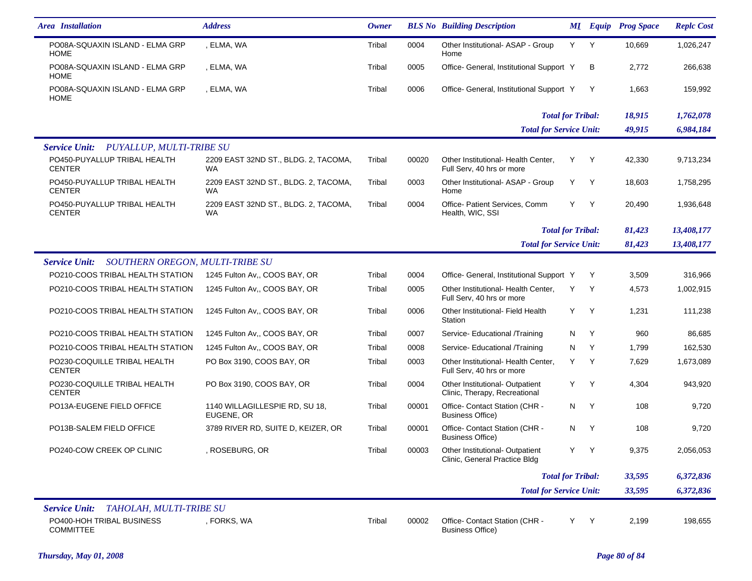| <b>Area</b> Installation                                | <b>Address</b>                                    | <b>Owner</b> |       | <b>BLS No</b> Building Description                               |     |   | <b>MI</b> Equip Prog Space | <b>Replc Cost</b> |
|---------------------------------------------------------|---------------------------------------------------|--------------|-------|------------------------------------------------------------------|-----|---|----------------------------|-------------------|
| PO08A-SQUAXIN ISLAND - ELMA GRP<br><b>HOME</b>          | , ELMA, WA                                        | Tribal       | 0004  | Other Institutional- ASAP - Group<br>Home                        | Y   | Y | 10,669                     | 1,026,247         |
| PO08A-SQUAXIN ISLAND - ELMA GRP<br><b>HOME</b>          | , ELMA, WA                                        | Tribal       | 0005  | Office- General, Institutional Support Y                         |     | в | 2,772                      | 266,638           |
| PO08A-SQUAXIN ISLAND - ELMA GRP<br><b>HOME</b>          | , ELMA, WA                                        | Tribal       | 0006  | Office- General, Institutional Support Y                         |     | Y | 1,663                      | 159,992           |
|                                                         |                                                   |              |       | <b>Total for Tribal:</b>                                         |     |   | 18,915                     | 1,762,078         |
|                                                         |                                                   |              |       | <b>Total for Service Unit:</b>                                   |     |   | 49,915                     | 6,984,184         |
| <b>Service Unit:</b><br>PUYALLUP, MULTI-TRIBE SU        |                                                   |              |       |                                                                  |     |   |                            |                   |
| PO450-PUYALLUP TRIBAL HEALTH<br><b>CENTER</b>           | 2209 EAST 32ND ST., BLDG. 2, TACOMA,<br><b>WA</b> | Tribal       | 00020 | Other Institutional- Health Center,<br>Full Serv, 40 hrs or more | Y   | Y | 42,330                     | 9,713,234         |
| PO450-PUYALLUP TRIBAL HEALTH<br><b>CENTER</b>           | 2209 EAST 32ND ST., BLDG. 2, TACOMA,<br><b>WA</b> | Tribal       | 0003  | Other Institutional- ASAP - Group<br>Home                        | Y   | Y | 18,603                     | 1,758,295         |
| PO450-PUYALLUP TRIBAL HEALTH<br><b>CENTER</b>           | 2209 EAST 32ND ST., BLDG. 2, TACOMA,<br><b>WA</b> | Tribal       | 0004  | Office- Patient Services, Comm<br>Health, WIC, SSI               | Y   | Y | 20,490                     | 1,936,648         |
|                                                         |                                                   |              |       | <b>Total for Tribal:</b>                                         |     |   | 81,423                     | 13,408,177        |
|                                                         |                                                   |              |       | <b>Total for Service Unit:</b>                                   |     |   | 81,423                     | 13,408,177        |
| SOUTHERN OREGON, MULTI-TRIBE SU<br><b>Service Unit:</b> |                                                   |              |       |                                                                  |     |   |                            |                   |
| PO210-COOS TRIBAL HEALTH STATION                        | 1245 Fulton Av., COOS BAY, OR                     | Tribal       | 0004  | Office- General, Institutional Support Y                         |     | Y | 3,509                      | 316,966           |
| PO210-COOS TRIBAL HEALTH STATION                        | 1245 Fulton Av,, COOS BAY, OR                     | Tribal       | 0005  | Other Institutional- Health Center.<br>Full Serv, 40 hrs or more | Y   | Y | 4,573                      | 1,002,915         |
| PO210-COOS TRIBAL HEALTH STATION                        | 1245 Fulton Av,, COOS BAY, OR                     | Tribal       | 0006  | Other Institutional- Field Health<br>Station                     | Y   | Y | 1,231                      | 111,238           |
| PO210-COOS TRIBAL HEALTH STATION                        | 1245 Fulton Av., COOS BAY, OR                     | Tribal       | 0007  | Service- Educational /Training                                   | N   | Y | 960                        | 86,685            |
| PO210-COOS TRIBAL HEALTH STATION                        | 1245 Fulton Av., COOS BAY, OR                     | Tribal       | 0008  | Service- Educational /Training                                   | N   | Y | 1,799                      | 162,530           |
| PO230-COQUILLE TRIBAL HEALTH<br><b>CENTER</b>           | PO Box 3190, COOS BAY, OR                         | Tribal       | 0003  | Other Institutional- Health Center,<br>Full Serv, 40 hrs or more | Y.  | Y | 7,629                      | 1,673,089         |
| PO230-COQUILLE TRIBAL HEALTH<br><b>CENTER</b>           | PO Box 3190, COOS BAY, OR                         | Tribal       | 0004  | Other Institutional- Outpatient<br>Clinic, Therapy, Recreational | Y   | Y | 4,304                      | 943,920           |
| PO13A-EUGENE FIELD OFFICE                               | 1140 WILLAGILLESPIE RD, SU 18,<br>EUGENE, OR      | Tribal       | 00001 | Office- Contact Station (CHR -<br><b>Business Office)</b>        | N   | Y | 108                        | 9,720             |
| PO13B-SALEM FIELD OFFICE                                | 3789 RIVER RD, SUITE D, KEIZER, OR                | Tribal       | 00001 | Office- Contact Station (CHR -<br><b>Business Office)</b>        | N   | Y | 108                        | 9,720             |
| PO240-COW CREEK OP CLINIC                               | , ROSEBURG, OR                                    | Tribal       | 00003 | Other Institutional- Outpatient<br>Clinic, General Practice Bldg | Y Y |   | 9,375                      | 2,056,053         |
|                                                         |                                                   |              |       | <b>Total for Tribal:</b>                                         |     |   | 33,595                     | 6,372,836         |
|                                                         |                                                   |              |       | <b>Total for Service Unit:</b>                                   |     |   | 33,595                     | 6,372,836         |
| TAHOLAH, MULTI-TRIBE SU<br><b>Service Unit:</b>         |                                                   |              |       |                                                                  |     |   |                            |                   |
| PO400-HOH TRIBAL BUSINESS<br>COMMITTEE                  | , FORKS, WA                                       | Tribal       | 00002 | Office- Contact Station (CHR -<br><b>Business Office)</b>        | Y   | Y | 2,199                      | 198,655           |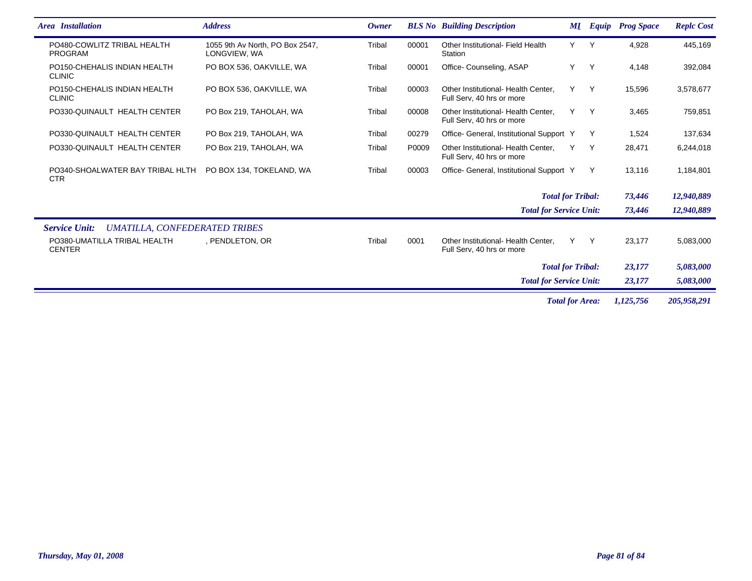| <b>Area</b> Installation                                     | <b>Address</b>                                  | <b>Owner</b> |       | <b>BLS No</b> Building Description                               |     | <b>MI</b> Equip | <b>Prog Space</b> | <b>Replc Cost</b> |
|--------------------------------------------------------------|-------------------------------------------------|--------------|-------|------------------------------------------------------------------|-----|-----------------|-------------------|-------------------|
| PO480-COWLITZ TRIBAL HEALTH<br><b>PROGRAM</b>                | 1055 9th Av North, PO Box 2547,<br>LONGVIEW, WA | Tribal       | 00001 | Other Institutional- Field Health<br>Station                     | Y.  | Y               | 4,928             | 445,169           |
| PO150-CHEHALIS INDIAN HEALTH<br><b>CLINIC</b>                | PO BOX 536, OAKVILLE, WA                        | Tribal       | 00001 | Office- Counseling, ASAP                                         | Y   | Y               | 4,148             | 392,084           |
| PO150-CHEHALIS INDIAN HEALTH<br><b>CLINIC</b>                | PO BOX 536, OAKVILLE, WA                        | Tribal       | 00003 | Other Institutional- Health Center,<br>Full Serv, 40 hrs or more | Y   | Y               | 15,596            | 3,578,677         |
| PO330-QUINAULT HEALTH CENTER                                 | PO Box 219, TAHOLAH, WA                         | Tribal       | 00008 | Other Institutional- Health Center.<br>Full Serv, 40 hrs or more | Y   | $\mathsf{Y}$    | 3,465             | 759,851           |
| PO330-QUINAULT HEALTH CENTER                                 | PO Box 219, TAHOLAH, WA                         | Tribal       | 00279 | Office- General, Institutional Support Y                         |     | Y               | 1,524             | 137,634           |
| PO330-QUINAULT HEALTH CENTER                                 | PO Box 219, TAHOLAH, WA                         | Tribal       | P0009 | Other Institutional- Health Center.<br>Full Serv, 40 hrs or more | Υ   | Y               | 28,471            | 6,244,018         |
| PO340-SHOALWATER BAY TRIBAL HLTH<br><b>CTR</b>               | PO BOX 134, TOKELAND, WA                        | Tribal       | 00003 | Office- General, Institutional Support Y                         |     | Y               | 13,116            | 1,184,801         |
|                                                              |                                                 |              |       | <b>Total for Tribal:</b>                                         |     |                 | 73,446            | 12,940,889        |
|                                                              |                                                 |              |       | <b>Total for Service Unit:</b>                                   |     |                 | 73,446            | 12,940,889        |
| <b>UMATILLA, CONFEDERATED TRIBES</b><br><b>Service Unit:</b> |                                                 |              |       |                                                                  |     |                 |                   |                   |
| PO380-UMATILLA TRIBAL HEALTH<br><b>CENTER</b>                | , PENDLETON, OR                                 | Tribal       | 0001  | Other Institutional- Health Center.<br>Full Serv, 40 hrs or more | Y - | Y               | 23,177            | 5,083,000         |
|                                                              |                                                 |              |       | <b>Total for Tribal:</b>                                         |     |                 | 23,177            | 5,083,000         |
|                                                              |                                                 |              |       | <b>Total for Service Unit:</b>                                   |     |                 | 23,177            | 5,083,000         |
|                                                              |                                                 |              |       | <b>Total for Area:</b>                                           |     |                 | 1,125,756         | 205,958,291       |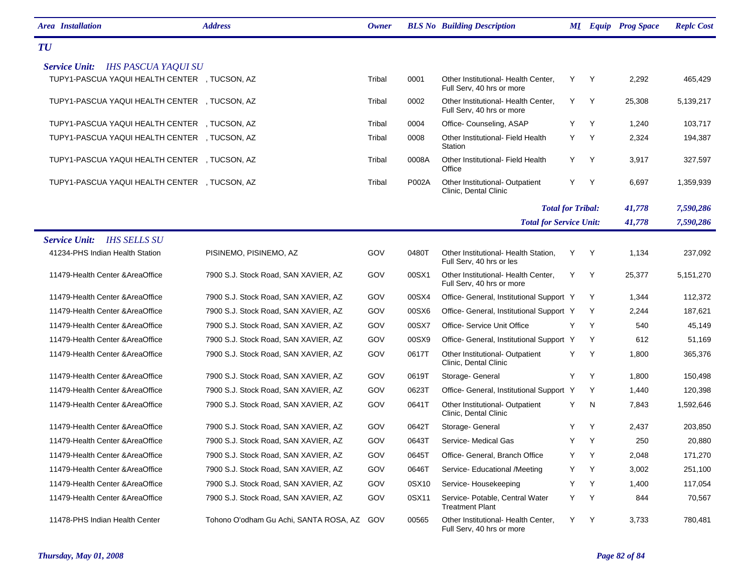| <b>Area</b> Installation                           | <b>Address</b>                             | <b>Owner</b> |       | <b>BLS No</b> Building Description                               |   |              | <b>MI</b> Equip Prog Space | <b>Replc Cost</b> |
|----------------------------------------------------|--------------------------------------------|--------------|-------|------------------------------------------------------------------|---|--------------|----------------------------|-------------------|
| <b>TU</b>                                          |                                            |              |       |                                                                  |   |              |                            |                   |
| <b>IHS PASCUA YAQUI SU</b><br><b>Service Unit:</b> |                                            |              |       |                                                                  |   |              |                            |                   |
| TUPY1-PASCUA YAQUI HEALTH CENTER , TUCSON, AZ      |                                            | Tribal       | 0001  | Other Institutional- Health Center,<br>Full Serv, 40 hrs or more | Y | <sup>Y</sup> | 2,292                      | 465,429           |
| TUPY1-PASCUA YAQUI HEALTH CENTER , TUCSON, AZ      |                                            | Tribal       | 0002  | Other Institutional- Health Center,<br>Full Serv, 40 hrs or more | Y | <sup>Y</sup> | 25,308                     | 5,139,217         |
| TUPY1-PASCUA YAQUI HEALTH CENTER , TUCSON, AZ      |                                            | Tribal       | 0004  | Office-Counseling, ASAP                                          | Y | Y            | 1,240                      | 103,717           |
| TUPY1-PASCUA YAQUI HEALTH CENTER , TUCSON, AZ      |                                            | Tribal       | 0008  | Other Institutional- Field Health<br>Station                     | Y | Y            | 2,324                      | 194,387           |
| TUPY1-PASCUA YAQUI HEALTH CENTER , TUCSON, AZ      |                                            | Tribal       | 0008A | Other Institutional- Field Health<br>Office                      | Y | Y            | 3,917                      | 327,597           |
| TUPY1-PASCUA YAQUI HEALTH CENTER , TUCSON, AZ      |                                            | Tribal       | P002A | Other Institutional-Outpatient<br>Clinic, Dental Clinic          | Y | Y            | 6,697                      | 1,359,939         |
|                                                    |                                            |              |       | <b>Total for Tribal:</b>                                         |   |              | 41,778                     | 7,590,286         |
|                                                    |                                            |              |       | <b>Total for Service Unit:</b>                                   |   |              | 41,778                     | 7,590,286         |
| <b>IHS SELLS SU</b><br><b>Service Unit:</b>        |                                            |              |       |                                                                  |   |              |                            |                   |
| 41234-PHS Indian Health Station                    | PISINEMO, PISINEMO, AZ                     | GOV          | 0480T | Other Institutional- Health Station,<br>Full Serv, 40 hrs or les | Y | Y            | 1,134                      | 237,092           |
| 11479-Health Center & Area Office                  | 7900 S.J. Stock Road, SAN XAVIER, AZ       | GOV          | 00SX1 | Other Institutional- Health Center,<br>Full Serv, 40 hrs or more | Y | Y            | 25,377                     | 5,151,270         |
| 11479-Health Center & Area Office                  | 7900 S.J. Stock Road, SAN XAVIER, AZ       | GOV          | 00SX4 | Office- General, Institutional Support Y                         |   | Y            | 1,344                      | 112,372           |
| 11479-Health Center & Area Office                  | 7900 S.J. Stock Road, SAN XAVIER, AZ       | GOV          | 00SX6 | Office- General, Institutional Support Y                         |   | Y            | 2,244                      | 187,621           |
| 11479-Health Center & Area Office                  | 7900 S.J. Stock Road, SAN XAVIER, AZ       | GOV          | 00SX7 | Office- Service Unit Office                                      | Υ | Y            | 540                        | 45,149            |
| 11479-Health Center & Area Office                  | 7900 S.J. Stock Road, SAN XAVIER, AZ       | GOV          | 00SX9 | Office- General, Institutional Support Y                         |   | Y            | 612                        | 51,169            |
| 11479-Health Center & Area Office                  | 7900 S.J. Stock Road, SAN XAVIER, AZ       | GOV          | 0617T | Other Institutional- Outpatient<br>Clinic, Dental Clinic         | Y | Y            | 1,800                      | 365,376           |
| 11479-Health Center & Area Office                  | 7900 S.J. Stock Road, SAN XAVIER, AZ       | GOV          | 0619T | Storage- General                                                 | Y | Y            | 1,800                      | 150,498           |
| 11479-Health Center & Area Office                  | 7900 S.J. Stock Road, SAN XAVIER, AZ       | GOV          | 0623T | Office- General, Institutional Support Y                         |   | Y            | 1,440                      | 120,398           |
| 11479-Health Center & Area Office                  | 7900 S.J. Stock Road, SAN XAVIER, AZ       | GOV          | 0641T | Other Institutional- Outpatient<br>Clinic, Dental Clinic         | Y | N            | 7,843                      | 1,592,646         |
| 11479-Health Center & Area Office                  | 7900 S.J. Stock Road, SAN XAVIER, AZ       | GOV          | 0642T | Storage- General                                                 | Y | Y            | 2,437                      | 203,850           |
| 11479-Health Center & Area Office                  | 7900 S.J. Stock Road, SAN XAVIER, AZ       | GOV          | 0643T | Service- Medical Gas                                             | Y | Y            | 250                        | 20,880            |
| 11479-Health Center & Area Office                  | 7900 S.J. Stock Road, SAN XAVIER, AZ       | GOV          | 0645T | Office- General, Branch Office                                   | Y | Y            | 2,048                      | 171,270           |
| 11479-Health Center & Area Office                  | 7900 S.J. Stock Road, SAN XAVIER, AZ       | GOV          | 0646T | Service- Educational /Meeting                                    | Y | Y            | 3,002                      | 251,100           |
| 11479-Health Center & Area Office                  | 7900 S.J. Stock Road, SAN XAVIER, AZ       | GOV          | 0SX10 | Service-Housekeeping                                             | Y | Y            | 1,400                      | 117,054           |
| 11479-Health Center & Area Office                  | 7900 S.J. Stock Road, SAN XAVIER, AZ       | GOV          | 0SX11 | Service- Potable, Central Water<br><b>Treatment Plant</b>        | Y | Y            | 844                        | 70,567            |
| 11478-PHS Indian Health Center                     | Tohono O'odham Gu Achi, SANTA ROSA, AZ GOV |              | 00565 | Other Institutional- Health Center,<br>Full Serv, 40 hrs or more | Y | Y            | 3,733                      | 780,481           |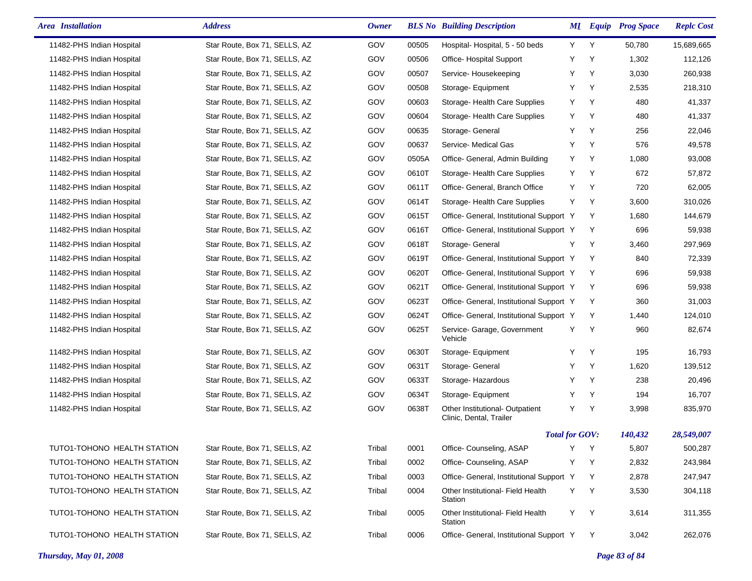| <b>Area</b> Installation    | <b>Address</b>                | Owner  |       | <b>BLS No</b> Building Description                         |   |   | <b>MI</b> Equip Prog Space | <b>Replc Cost</b> |
|-----------------------------|-------------------------------|--------|-------|------------------------------------------------------------|---|---|----------------------------|-------------------|
| 11482-PHS Indian Hospital   | Star Route, Box 71, SELLS, AZ | GOV    | 00505 | Hospital-Hospital, 5 - 50 beds                             | Y | Y | 50,780                     | 15,689,665        |
| 11482-PHS Indian Hospital   | Star Route, Box 71, SELLS, AZ | GOV    | 00506 | Office-Hospital Support                                    | Υ | Υ | 1,302                      | 112,126           |
| 11482-PHS Indian Hospital   | Star Route, Box 71, SELLS, AZ | GOV    | 00507 | Service-Housekeeping                                       | Υ | Υ | 3,030                      | 260,938           |
| 11482-PHS Indian Hospital   | Star Route, Box 71, SELLS, AZ | GOV    | 00508 | Storage- Equipment                                         | Y | Y | 2,535                      | 218,310           |
| 11482-PHS Indian Hospital   | Star Route, Box 71, SELLS, AZ | GOV    | 00603 | Storage- Health Care Supplies                              | Y | Y | 480                        | 41,337            |
| 11482-PHS Indian Hospital   | Star Route, Box 71, SELLS, AZ | GOV    | 00604 | Storage- Health Care Supplies                              | Y | Y | 480                        | 41,337            |
| 11482-PHS Indian Hospital   | Star Route, Box 71, SELLS, AZ | GOV    | 00635 | Storage- General                                           | Y | Y | 256                        | 22,046            |
| 11482-PHS Indian Hospital   | Star Route, Box 71, SELLS, AZ | GOV    | 00637 | Service- Medical Gas                                       | Y | Y | 576                        | 49,578            |
| 11482-PHS Indian Hospital   | Star Route, Box 71, SELLS, AZ | GOV    | 0505A | Office- General, Admin Building                            | Y | Y | 1,080                      | 93,008            |
| 11482-PHS Indian Hospital   | Star Route, Box 71, SELLS, AZ | GOV    | 0610T | Storage-Health Care Supplies                               | Y | Y | 672                        | 57,872            |
| 11482-PHS Indian Hospital   | Star Route, Box 71, SELLS, AZ | GOV    | 0611T | Office- General, Branch Office                             | Y | Y | 720                        | 62,005            |
| 11482-PHS Indian Hospital   | Star Route, Box 71, SELLS, AZ | GOV    | 0614T | Storage- Health Care Supplies                              | Y | Y | 3,600                      | 310,026           |
| 11482-PHS Indian Hospital   | Star Route, Box 71, SELLS, AZ | GOV    | 0615T | Office- General, Institutional Support Y                   |   | Y | 1,680                      | 144,679           |
| 11482-PHS Indian Hospital   | Star Route, Box 71, SELLS, AZ | GOV    | 0616T | Office- General, Institutional Support Y                   |   | Y | 696                        | 59,938            |
| 11482-PHS Indian Hospital   | Star Route, Box 71, SELLS, AZ | GOV    | 0618T | Storage- General                                           | Y | Y | 3,460                      | 297,969           |
| 11482-PHS Indian Hospital   | Star Route, Box 71, SELLS, AZ | GOV    | 0619T | Office- General, Institutional Support Y                   |   | Y | 840                        | 72,339            |
| 11482-PHS Indian Hospital   | Star Route, Box 71, SELLS, AZ | GOV    | 0620T | Office- General, Institutional Support Y                   |   | Y | 696                        | 59,938            |
| 11482-PHS Indian Hospital   | Star Route, Box 71, SELLS, AZ | GOV    | 0621T | Office- General, Institutional Support Y                   |   | Y | 696                        | 59,938            |
| 11482-PHS Indian Hospital   | Star Route, Box 71, SELLS, AZ | GOV    | 0623T | Office- General, Institutional Support Y                   |   | Y | 360                        | 31,003            |
| 11482-PHS Indian Hospital   | Star Route, Box 71, SELLS, AZ | GOV    | 0624T | Office- General, Institutional Support Y                   |   | Y | 1,440                      | 124,010           |
| 11482-PHS Indian Hospital   | Star Route, Box 71, SELLS, AZ | GOV    | 0625T | Service- Garage, Government<br>Vehicle                     | Y | Y | 960                        | 82,674            |
| 11482-PHS Indian Hospital   | Star Route, Box 71, SELLS, AZ | GOV    | 0630T | Storage- Equipment                                         | Y | Y | 195                        | 16,793            |
| 11482-PHS Indian Hospital   | Star Route, Box 71, SELLS, AZ | GOV    | 0631T | Storage- General                                           | Υ | Y | 1,620                      | 139,512           |
| 11482-PHS Indian Hospital   | Star Route, Box 71, SELLS, AZ | GOV    | 0633T | Storage-Hazardous                                          | Y | Y | 238                        | 20,496            |
| 11482-PHS Indian Hospital   | Star Route, Box 71, SELLS, AZ | GOV    | 0634T | Storage- Equipment                                         | Y | Y | 194                        | 16,707            |
| 11482-PHS Indian Hospital   | Star Route, Box 71, SELLS, AZ | GOV    | 0638T | Other Institutional- Outpatient<br>Clinic, Dental, Trailer | Y | Y | 3,998                      | 835,970           |
|                             |                               |        |       | <b>Total for GOV:</b>                                      |   |   | 140,432                    | 28,549,007        |
| TUTO1-TOHONO HEALTH STATION | Star Route, Box 71, SELLS, AZ | Tribal | 0001  | Office-Counseling, ASAP                                    | Y | Y | 5,807                      | 500,287           |
| TUTO1-TOHONO HEALTH STATION | Star Route, Box 71, SELLS, AZ | Tribal | 0002  | Office- Counseling, ASAP                                   | Y | Y | 2,832                      | 243,984           |
| TUTO1-TOHONO HEALTH STATION | Star Route, Box 71, SELLS, AZ | Tribal | 0003  | Office- General, Institutional Support Y                   |   | Y | 2,878                      | 247,947           |
| TUTO1-TOHONO HEALTH STATION | Star Route, Box 71, SELLS, AZ | Tribal | 0004  | Other Institutional- Field Health<br>Station               | Y | Y | 3,530                      | 304,118           |
| TUTO1-TOHONO HEALTH STATION | Star Route, Box 71, SELLS, AZ | Tribal | 0005  | Other Institutional- Field Health<br>Station               | Y | Y | 3,614                      | 311,355           |
| TUTO1-TOHONO HEALTH STATION | Star Route, Box 71, SELLS, AZ | Tribal | 0006  | Office- General, Institutional Support Y                   |   | Y | 3,042                      | 262,076           |